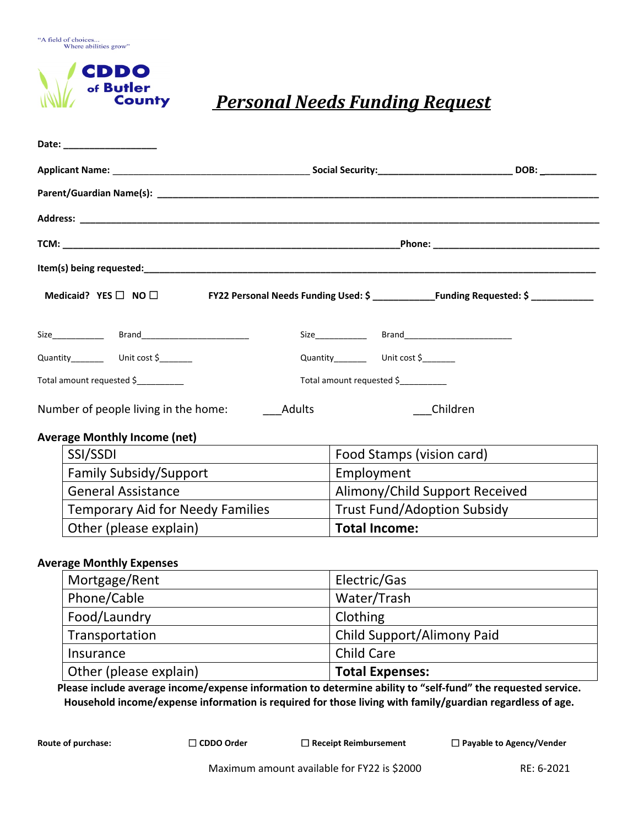



## *Personal Needs Funding Request*

|                                                       | Date: ___________________                  |  |                                          |  |  |
|-------------------------------------------------------|--------------------------------------------|--|------------------------------------------|--|--|
|                                                       |                                            |  |                                          |  |  |
|                                                       |                                            |  |                                          |  |  |
|                                                       |                                            |  |                                          |  |  |
|                                                       |                                            |  |                                          |  |  |
|                                                       |                                            |  |                                          |  |  |
|                                                       | Medicaid? $YES \Box NO \Box$               |  |                                          |  |  |
|                                                       |                                            |  |                                          |  |  |
|                                                       | Quantity___________  Unit cost \$_________ |  | Quantity___________ Unit cost \$________ |  |  |
| Total amount requested \$                             |                                            |  | Total amount requested \$                |  |  |
| <b>Adults</b><br>Number of people living in the home: |                                            |  | Children                                 |  |  |
|                                                       | <b>Average Monthly Income (net)</b>        |  |                                          |  |  |
|                                                       | SSI/SSDI                                   |  | Food Stamps (vision card)                |  |  |
|                                                       | <b>Family Subsidy/Support</b>              |  | Employment                               |  |  |
|                                                       | <b>General Assistance</b>                  |  | Alimony/Child Support Received           |  |  |
|                                                       | <b>Temporary Aid for Needy Families</b>    |  | <b>Trust Fund/Adoption Subsidy</b>       |  |  |
|                                                       | Other (please explain)                     |  | <b>Total Income:</b>                     |  |  |
|                                                       | <b>Average Monthly Expenses</b>            |  |                                          |  |  |
|                                                       | Mortgage/Rent                              |  | Electric/Gas                             |  |  |
|                                                       |                                            |  | $\frac{1}{2}$                            |  |  |

| <b>IVIOI LEUEC/INCIIL</b> | LICCLIC OUJ                |
|---------------------------|----------------------------|
| Phone/Cable               | Water/Trash                |
| Food/Laundry              | Clothing                   |
| Transportation            | Child Support/Alimony Paid |
| Insurance                 | <b>Child Care</b>          |
| Other (please explain)    | <b>Total Expenses:</b>     |

**Please include average income/expense information to determine ability to "self-fund" the requested service. Household income/expense information is required for those living with family/guardian regardless of age.**